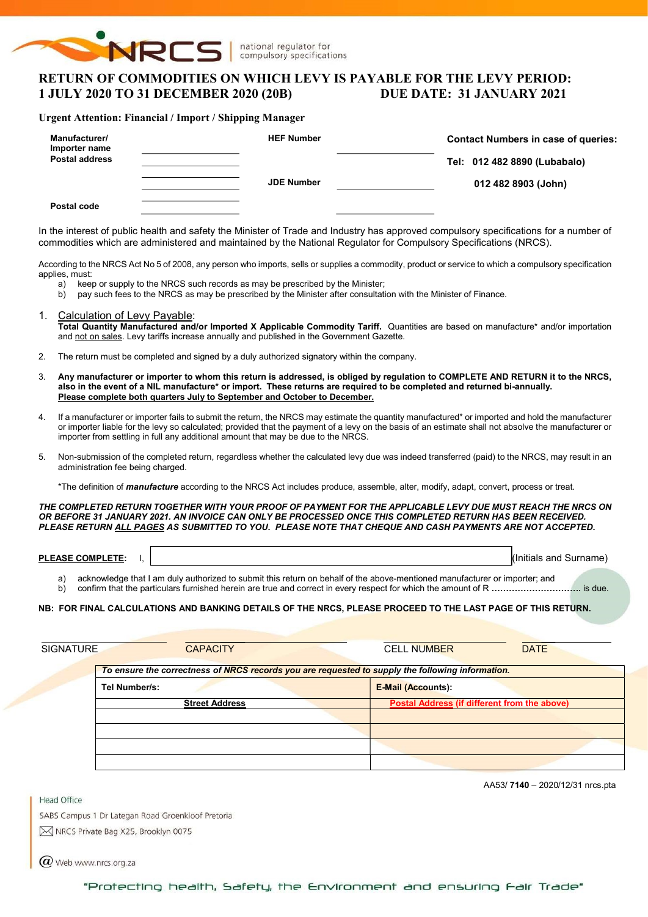

# RETURN OF COMMODITIES ON WHICH LEVY IS PAYABLE FOR THE LEVY PERIOD: 1 JULY 2020 TO 31 DECEMBER 2020 (20B) DUE DATE: 31 JANUARY 2021

### Urgent Attention: Financial / Import / Shipping Manager

| Manufacturer/<br>Importer name | <b>HEF Number</b> | <b>Contact Numbers in case of queries:</b> |  |  |  |  |
|--------------------------------|-------------------|--------------------------------------------|--|--|--|--|
| <b>Postal address</b>          |                   | Tel: 012 482 8890 (Lubabalo)               |  |  |  |  |
|                                | <b>JDE Number</b> | 012 482 8903 (John)                        |  |  |  |  |
| Postal code                    |                   |                                            |  |  |  |  |

In the interest of public health and safety the Minister of Trade and Industry has approved compulsory specifications for a number of commodities which are administered and maintained by the National Regulator for Compulsory Specifications (NRCS).

According to the NRCS Act No 5 of 2008, any person who imports, sells or supplies a commodity, product or service to which a compulsory specification applies, must:

- a) keep or supply to the NRCS such records as may be prescribed by the Minister;
- b) pay such fees to the NRCS as may be prescribed by the Minister after consultation with the Minister of Finance.
- 1. Calculation of Levy Payable: Total Quantity Manufactured and/or Imported X Applicable Commodity Tariff. Quantities are based on manufacture\* and/or importation and not on sales. Levy tariffs increase annually and published in the Government Gazette.
- 2. The return must be completed and signed by a duly authorized signatory within the company.
- 3. Any manufacturer or importer to whom this return is addressed, is obliged by regulation to COMPLETE AND RETURN it to the NRCS, also in the event of a NIL manufacture\* or import. These returns are required to be completed and returned bi-annually. Please complete both quarters July to September and October to December.
- 4. If a manufacturer or importer fails to submit the return, the NRCS may estimate the quantity manufactured\* or imported and hold the manufacturer or importer liable for the levy so calculated; provided that the payment of a levy on the basis of an estimate shall not absolve the manufacturer or importer from settling in full any additional amount that may be due to the NRCS.
- 5. Non-submission of the completed return, regardless whether the calculated levy due was indeed transferred (paid) to the NRCS, may result in an administration fee being charged.

\*The definition of *manufacture* according to the NRCS Act includes produce, assemble, alter, modify, adapt, convert, process or treat.

THE COMPLETED RETURN TOGETHER WITH YOUR PROOF OF PAYMENT FOR THE APPLICABLE LEVY DUE MUST REACH THE NRCS ON OR BEFORE 31 JANUARY 2021. AN INVOICE CAN ONLY BE PROCESSED ONCE THIS COMPLETED RETURN HAS BEEN RECEIVED. PLEASE RETURN ALL PAGES AS SUBMITTED TO YOU. PLEASE NOTE THAT CHEQUE AND CASH PAYMENTS ARE NOT ACCEPTED.

PLEASE COMPLETE: I,  $\vert$ 

a) acknowledge that I am duly authorized to submit this return on behalf of the above-mentioned manufacturer or importer; and

b) confirm that the particulars furnished herein are true and correct in every respect for which the amount of R ………………………………… is due.

#### NB: FOR FINAL CALCULATIONS AND BANKING DETAILS OF THE NRCS, PLEASE PROCEED TO THE LAST PAGE OF THIS RETURN.

| <b>SIGNATURE</b> | <b>CAPACITY</b>                                                                                  | <b>DATE</b><br><b>CELL NUMBER</b>            |
|------------------|--------------------------------------------------------------------------------------------------|----------------------------------------------|
|                  | To ensure the correctness of NRCS records you are requested to supply the following information. |                                              |
|                  | Tel Number/s:                                                                                    | <b>E-Mail (Accounts):</b>                    |
|                  | <b>Street Address</b>                                                                            | Postal Address (if different from the above) |
|                  |                                                                                                  |                                              |
|                  |                                                                                                  |                                              |
|                  |                                                                                                  |                                              |
|                  |                                                                                                  |                                              |

**Head Office** 

AA53/ 7140 – 2020/12/31 nrcs.pta

SABS Campus 1 Dr Lategan Road Groenkloof Pretoria M NRCS Private Bag X25, Brooklyn 0075

 $\omega$  Web www.nrcs.org.za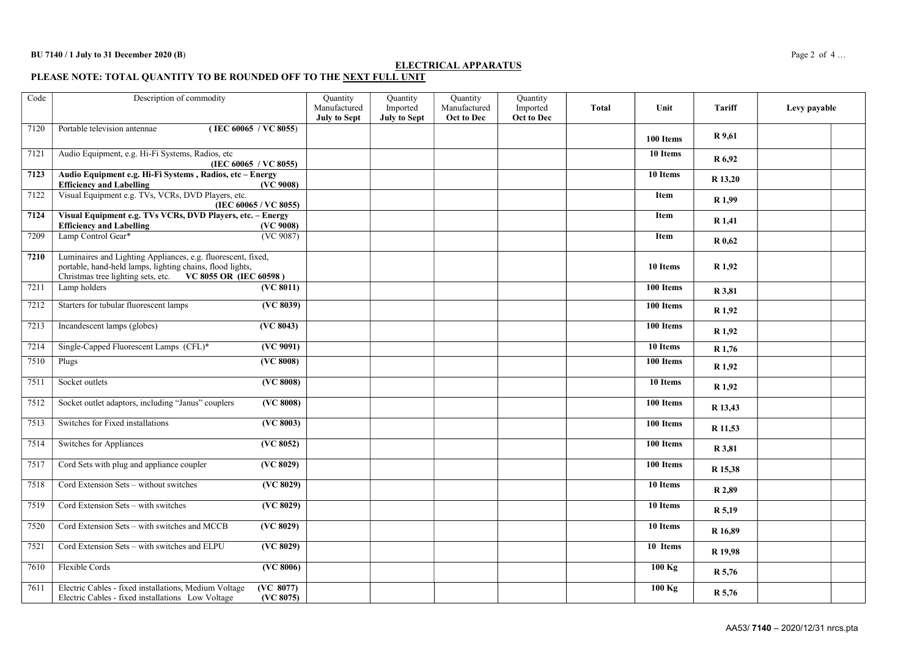### ELECTRICAL APPARATUS

PLEASE NOTE: TOTAL QUANTITY TO BE ROUNDED OFF TO THE <u>NEXT FULL UNIT</u>

| Code | Description of commodity                                                                                                                                                               |                               | Quantity<br>Manufactured<br><b>July to Sept</b> | Quantity<br>Imported<br><b>July to Sept</b> | Quantity<br>Manufactured<br>Oct to Dec | Quantity<br>Imported<br>Oct to Dec | <b>Total</b> | Unit                  | <b>Tariff</b>     | Levy payable |  |
|------|----------------------------------------------------------------------------------------------------------------------------------------------------------------------------------------|-------------------------------|-------------------------------------------------|---------------------------------------------|----------------------------------------|------------------------------------|--------------|-----------------------|-------------------|--------------|--|
| 7120 | Portable television antennae                                                                                                                                                           | (IEC 60065 / VC 8055)         |                                                 |                                             |                                        |                                    |              | 100 Items             | R 9,61            |              |  |
| 7121 | Audio Equipment, e.g. Hi-Fi Systems, Radios, etc                                                                                                                                       | (IEC 60065 / VC 8055)         |                                                 |                                             |                                        |                                    |              | 10 Items              | R 6,92            |              |  |
| 7123 | Audio Equipment e.g. Hi-Fi Systems, Radios, etc - Energy<br><b>Efficiency and Labelling</b>                                                                                            | (VC 9008)                     |                                                 |                                             |                                        |                                    |              | 10 Items              | R 13,20           |              |  |
| 7122 | Visual Equipment e.g. TVs, VCRs, DVD Players, etc.                                                                                                                                     | (IEC 60065 / VC 8055)         |                                                 |                                             |                                        |                                    |              | Item                  | R 1,99            |              |  |
| 7124 | Visual Equipment e.g. TVs VCRs, DVD Players, etc. - Energy<br><b>Efficiency and Labelling</b>                                                                                          | (VC 9008)                     |                                                 |                                             |                                        |                                    |              | <b>Item</b>           | R 1,41            |              |  |
| 7209 | Lamp Control Gear*                                                                                                                                                                     | (VC 9087)                     |                                                 |                                             |                                        |                                    |              | Item                  | R 0,62            |              |  |
| 7210 | Luminaires and Lighting Appliances, e.g. fluorescent, fixed,<br>portable, hand-held lamps, lighting chains, flood lights,<br>Christmas tree lighting sets, etc. VC 8055 OR (IEC 60598) |                               |                                                 |                                             |                                        |                                    |              | 10 Items              | R <sub>1,92</sub> |              |  |
| 7211 | Lamp holders                                                                                                                                                                           | (VC 8011)                     |                                                 |                                             |                                        |                                    |              | 100 Items             | R 3,81            |              |  |
| 7212 | Starters for tubular fluorescent lamps                                                                                                                                                 | (VC 8039)                     |                                                 |                                             |                                        |                                    |              | 100 Items             | R 1,92            |              |  |
| 7213 | Incandescent lamps (globes)                                                                                                                                                            | (VC 8043)                     |                                                 |                                             |                                        |                                    |              | 100 Items             | R <sub>1,92</sub> |              |  |
| 7214 | Single-Capped Fluorescent Lamps (CFL)*                                                                                                                                                 | $\overline{(VC 9091)}$        |                                                 |                                             |                                        |                                    |              | 10 Items              | R 1,76            |              |  |
| 7510 | Plugs                                                                                                                                                                                  | (VC 8008)                     |                                                 |                                             |                                        |                                    |              | 100 Items             | R 1,92            |              |  |
| 7511 | Socket outlets                                                                                                                                                                         | (VC 8008)                     |                                                 |                                             |                                        |                                    |              | 10 Items              | R 1,92            |              |  |
| 7512 | Socket outlet adaptors, including "Janus" couplers                                                                                                                                     | $(\overline{\text{VC }8008})$ |                                                 |                                             |                                        |                                    |              | 100 Items             | R 13,43           |              |  |
| 7513 | Switches for Fixed installations                                                                                                                                                       | (VC 8003)                     |                                                 |                                             |                                        |                                    |              | 100 Items             | R 11,53           |              |  |
| 7514 | Switches for Appliances                                                                                                                                                                | (VC 8052)                     |                                                 |                                             |                                        |                                    |              | 100 Items             | R 3,81            |              |  |
| 7517 | Cord Sets with plug and appliance coupler                                                                                                                                              | (VC 8029)                     |                                                 |                                             |                                        |                                    |              | 100 Items             | R 15,38           |              |  |
| 7518 | Cord Extension Sets - without switches                                                                                                                                                 | (VC 8029)                     |                                                 |                                             |                                        |                                    |              | 10 Items              | R 2.89            |              |  |
| 7519 | Cord Extension Sets - with switches                                                                                                                                                    | (VC 8029)                     |                                                 |                                             |                                        |                                    |              | $\overline{10}$ Items | R 5,19            |              |  |
| 7520 | Cord Extension Sets - with switches and MCCB                                                                                                                                           | ( <b>VC</b> 8029)             |                                                 |                                             |                                        |                                    |              | 10 Items              | R 16,89           |              |  |
| 7521 | Cord Extension Sets - with switches and ELPU                                                                                                                                           | (VC 8029)                     |                                                 |                                             |                                        |                                    |              | 10 Items              | R 19,98           |              |  |
| 7610 | Flexible Cords                                                                                                                                                                         | ( <b>VC</b> 8006)             |                                                 |                                             |                                        |                                    |              | 100 Kg                | R 5,76            |              |  |
| 7611 | Electric Cables - fixed installations, Medium Voltage<br>Electric Cables - fixed installations Low Voltage                                                                             | (VC 8077)<br>(VC 8075)        |                                                 |                                             |                                        |                                    |              | 100 Kg                | R 5,76            |              |  |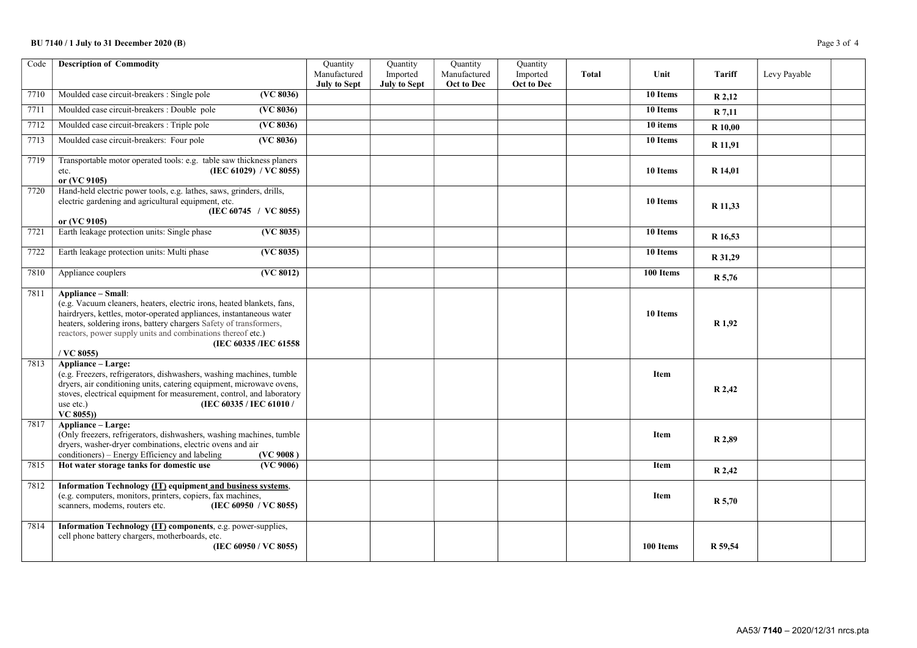## BU 7140 / 1 July to 31 December 2020 (B) Page 3 of 4

| Code | <b>Description of Commodity</b>                                                                                                                                                                                                                                                                                                                   | Quantity            | Quantity            | Quantity     | Quantity   |              |           |                |              |  |
|------|---------------------------------------------------------------------------------------------------------------------------------------------------------------------------------------------------------------------------------------------------------------------------------------------------------------------------------------------------|---------------------|---------------------|--------------|------------|--------------|-----------|----------------|--------------|--|
|      |                                                                                                                                                                                                                                                                                                                                                   | Manufactured        | Imported            | Manufactured | Imported   | <b>Total</b> | Unit      | Tariff         | Levy Payable |  |
|      |                                                                                                                                                                                                                                                                                                                                                   | <b>July to Sept</b> | <b>July to Sept</b> | Oct to Dec   | Oct to Dec |              |           |                |              |  |
| 7710 | (VC 8036)<br>Moulded case circuit-breakers : Single pole                                                                                                                                                                                                                                                                                          |                     |                     |              |            |              | 10 Items  | R 2,12         |              |  |
| 7711 | Moulded case circuit-breakers : Double pole<br>(VC 8036)                                                                                                                                                                                                                                                                                          |                     |                     |              |            |              | 10 Items  | R 7,11         |              |  |
| 7712 | ( <b>VC</b> 8036)<br>Moulded case circuit-breakers : Triple pole                                                                                                                                                                                                                                                                                  |                     |                     |              |            |              | 10 items  | <b>R</b> 10,00 |              |  |
| 7713 | Moulded case circuit-breakers: Four pole<br>(VC 8036)                                                                                                                                                                                                                                                                                             |                     |                     |              |            |              | 10 Items  | R 11,91        |              |  |
| 7719 | Transportable motor operated tools: e.g. table saw thickness planers<br>(IEC 61029) / $\vec{VC}$ 8055)<br>etc.<br>or (VC 9105)                                                                                                                                                                                                                    |                     |                     |              |            |              | 10 Items  | R 14,01        |              |  |
| 7720 | Hand-held electric power tools, e.g. lathes, saws, grinders, drills,<br>electric gardening and agricultural equipment, etc.<br>(IEC 60745 / VC 8055)<br>or (VC 9105)                                                                                                                                                                              |                     |                     |              |            |              | 10 Items  | R 11,33        |              |  |
| 7721 | Earth leakage protection units: Single phase<br>(VC 8035)                                                                                                                                                                                                                                                                                         |                     |                     |              |            |              | 10 Items  | R 16,53        |              |  |
| 7722 | Earth leakage protection units: Multi phase<br>$\overline{(VC 8035)}$                                                                                                                                                                                                                                                                             |                     |                     |              |            |              | 10 Items  | R 31,29        |              |  |
| 7810 | $\sqrt{\text{VC } 8012}$<br>Appliance couplers                                                                                                                                                                                                                                                                                                    |                     |                     |              |            |              | 100 Items | R 5,76         |              |  |
| 7811 | Appliance - Small:<br>(e.g. Vacuum cleaners, heaters, electric irons, heated blankets, fans,<br>hairdryers, kettles, motor-operated appliances, instantaneous water<br>heaters, soldering irons, battery chargers Safety of transformers,<br>reactors, power supply units and combinations thereof etc.)<br>(IEC 60335/IEC 61558)<br>$/$ VC 8055) |                     |                     |              |            |              | 10 Items  | R 1,92         |              |  |
| 7813 | <b>Appliance - Large:</b><br>(e.g. Freezers, refrigerators, dishwashers, washing machines, tumble<br>dryers, air conditioning units, catering equipment, microwave ovens,<br>stoves, electrical equipment for measurement, control, and laboratory<br>(IEC 60335 / IEC 61010 /<br>use etc.)<br>$VC$ 8055))                                        |                     |                     |              |            |              | Item      | R 2,42         |              |  |
| 7817 | <b>Appliance – Large:</b><br>(Only freezers, refrigerators, dishwashers, washing machines, tumble<br>dryers, washer-dryer combinations, electric ovens and air<br>conditioners) - Energy Efficiency and labeling<br>(VC 9008)                                                                                                                     |                     |                     |              |            |              | Item      | R 2,89         |              |  |
| 7815 | Hot water storage tanks for domestic use<br>(VC 9006)                                                                                                                                                                                                                                                                                             |                     |                     |              |            |              | Item      | R 2,42         |              |  |
| 7812 | Information Technology (IT) equipment and business systems,<br>(e.g. computers, monitors, printers, copiers, fax machines,<br>scanners, modems, routers etc.<br>(IEC 60950 / VC 8055)                                                                                                                                                             |                     |                     |              |            |              | Item      | $R_{5,70}$     |              |  |
| 7814 | Information Technology (IT) components, e.g. power-supplies,<br>cell phone battery chargers, motherboards, etc.<br>(IEC 60950 / VC 8055)                                                                                                                                                                                                          |                     |                     |              |            |              | 100 Items | R 59,54        |              |  |